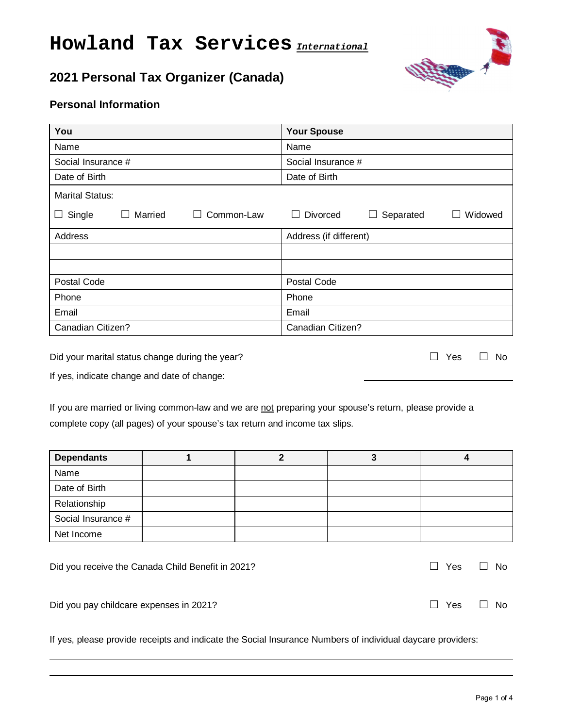# **Howland Tax Services** *International*

# **2021 Personal Tax Organizer (Canada)**



# **Personal Information**

| You                             | <b>Your Spouse</b>               |  |  |  |
|---------------------------------|----------------------------------|--|--|--|
| Name                            | Name                             |  |  |  |
| Social Insurance #              | Social Insurance #               |  |  |  |
| Date of Birth                   | Date of Birth                    |  |  |  |
| <b>Marital Status:</b>          |                                  |  |  |  |
| Single<br>Married<br>Common-Law | Divorced<br>Widowed<br>Separated |  |  |  |
| Address                         | Address (if different)           |  |  |  |
|                                 |                                  |  |  |  |
|                                 |                                  |  |  |  |
| Postal Code                     | Postal Code                      |  |  |  |
| Phone                           | Phone                            |  |  |  |
| Email                           | Email                            |  |  |  |
| Canadian Citizen?               | Canadian Citizen?                |  |  |  |

Did your marital status change during the year? **□** Yes **□** No

If yes, indicate change and date of change:

 $\overline{a}$  $\overline{a}$ 

If you are married or living common-law and we are not preparing your spouse's return, please provide a complete copy (all pages) of your spouse's tax return and income tax slips.

| <b>Dependants</b>  |  |  |
|--------------------|--|--|
| Name               |  |  |
| Date of Birth      |  |  |
| Relationship       |  |  |
| Social Insurance # |  |  |
| Net Income         |  |  |
|                    |  |  |

| Did you receive the Canada Child Benefit in 2021? |            | □ Yes □ No |
|---------------------------------------------------|------------|------------|
| Did you pay childcare expenses in 2021?           | □ Yes □ No |            |

If yes, please provide receipts and indicate the Social Insurance Numbers of individual daycare providers: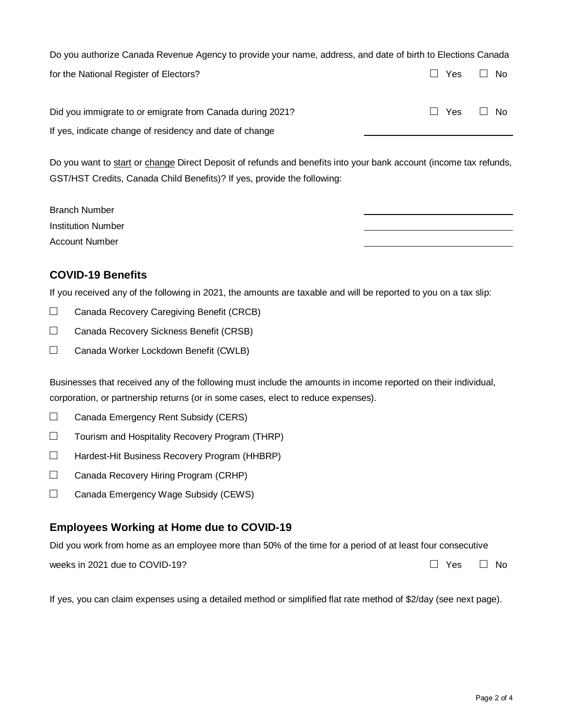Do you authorize Canada Revenue Agency to provide your name, address, and date of birth to Elections Canada for the National Register of Electors? **□** Yes **□** No

| Did you immigrate to or emigrate from Canada during 2021? | $\Box$ Yes $\Box$ No |  |
|-----------------------------------------------------------|----------------------|--|
| If yes, indicate change of residency and date of change   |                      |  |

Do you want to start or change Direct Deposit of refunds and benefits into your bank account (income tax refunds, GST/HST Credits, Canada Child Benefits)? If yes, provide the following:

| <b>Branch Number</b>      |
|---------------------------|
| <b>Institution Number</b> |
| <b>Account Number</b>     |

## **COVID-19 Benefits**

If you received any of the following in 2021, the amounts are taxable and will be reported to you on a tax slip:

- $\Box$  Canada Recovery Caregiving Benefit (CRCB)
- □ Canada Recovery Sickness Benefit (CRSB)
- □ Canada Worker Lockdown Benefit (CWLB)

Businesses that received any of the following must include the amounts in income reported on their individual, corporation, or partnership returns (or in some cases, elect to reduce expenses).

- □ Canada Emergency Rent Subsidy (CERS)
- $\Box$  Tourism and Hospitality Recovery Program (THRP)
- □ Hardest-Hit Business Recovery Program (HHBRP)
- □ Canada Recovery Hiring Program (CRHP)
- □ Canada Emergency Wage Subsidy (CEWS)

#### **Employees Working at Home due to COVID-19**

Did you work from home as an employee more than 50% of the time for a period of at least four consecutive

weeks in 2021 due to COVID-19? **□** Yes **□** No

If yes, you can claim expenses using a detailed method or simplified flat rate method of \$2/day (see next page).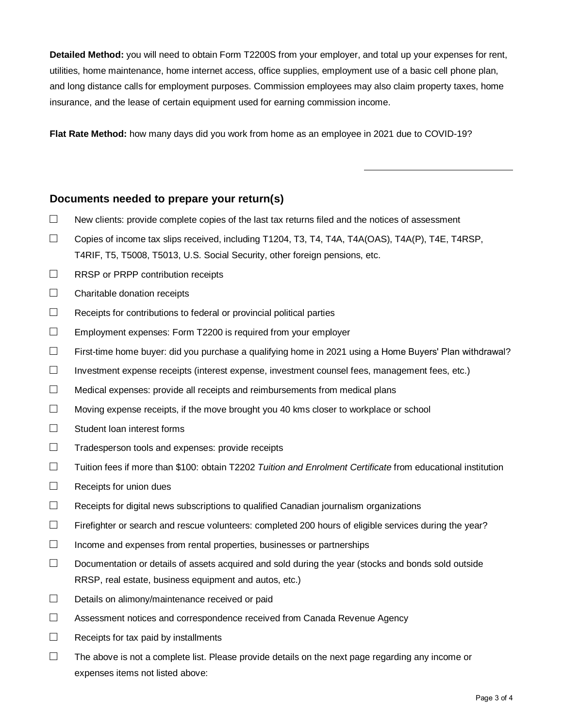**Detailed Method:** you will need to obtain Form T2200S from your employer, and total up your expenses for rent, utilities, home maintenance, home internet access, office supplies, employment use of a basic cell phone plan, and long distance calls for employment purposes. Commission employees may also claim property taxes, home insurance, and the lease of certain equipment used for earning commission income.

**Flat Rate Method:** how many days did you work from home as an employee in 2021 due to COVID-19?

#### **Documents needed to prepare your return(s)**

- $\Box$  New clients: provide complete copies of the last tax returns filed and the notices of assessment
- $\Box$  Copies of income tax slips received, including T1204, T3, T4, T4A, T4A(OAS), T4A(P), T4E, T4RSP, T4RIF, T5, T5008, T5013, U.S. Social Security, other foreign pensions, etc.
- □ RRSP or PRPP contribution receipts
- $\Box$  Charitable donation receipts
- $\Box$  Receipts for contributions to federal or provincial political parties
- $\Box$  Employment expenses: Form T2200 is required from your employer
- $\Box$  First-time home buyer: did you purchase a qualifying home in 2021 using a Home Buyers' Plan withdrawal?
- $\Box$  Investment expense receipts (interest expense, investment counsel fees, management fees, etc.)
- $\Box$  Medical expenses: provide all receipts and reimbursements from medical plans
- $\Box$  Moving expense receipts, if the move brought you 40 kms closer to workplace or school
- $\Box$  Student loan interest forms
- $\Box$  Tradesperson tools and expenses: provide receipts
- □ Tuition fees if more than \$100: obtain T2202 *Tuition and Enrolment Certificate* from educational institution
- $\Box$  Receipts for union dues
- $\Box$  Receipts for digital news subscriptions to qualified Canadian journalism organizations
- $\Box$  Firefighter or search and rescue volunteers: completed 200 hours of eligible services during the year?
- $\Box$  Income and expenses from rental properties, businesses or partnerships
- $\Box$  Documentation or details of assets acquired and sold during the year (stocks and bonds sold outside RRSP, real estate, business equipment and autos, etc.)
- $\Box$  Details on alimony/maintenance received or paid
- $\Box$  Assessment notices and correspondence received from Canada Revenue Agency
- $\Box$  Receipts for tax paid by installments
- $\Box$  The above is not a complete list. Please provide details on the next page regarding any income or expenses items not listed above: